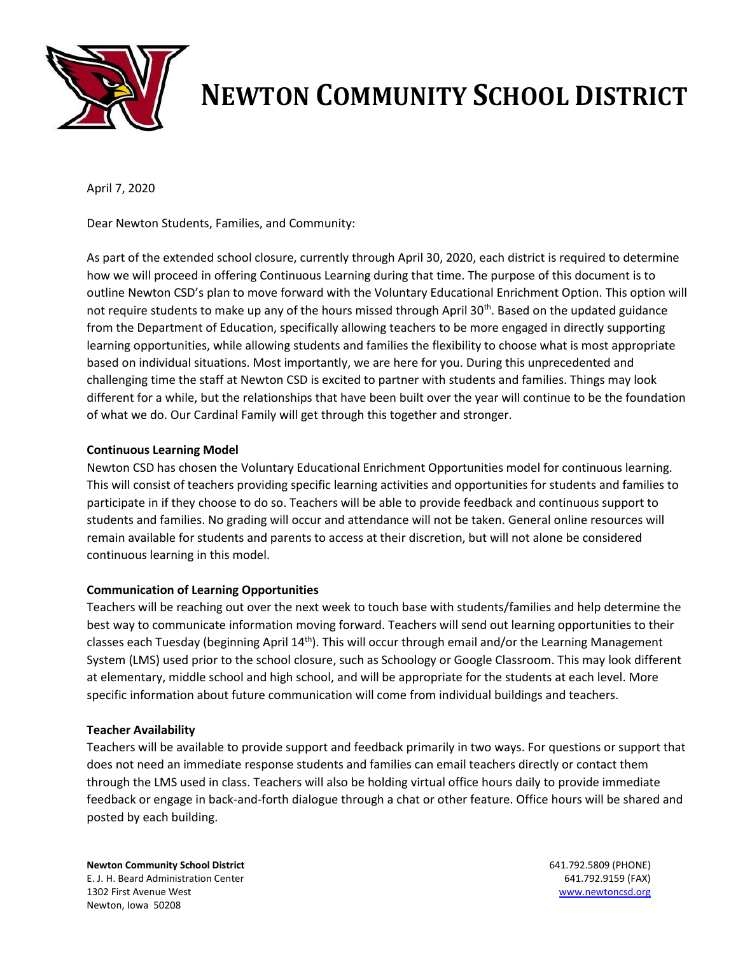

## **NEWTON COMMUNITY SCHOOL DISTRICT**

April 7, 2020

Dear Newton Students, Families, and Community:

As part of the extended school closure, currently through April 30, 2020, each district is required to determine how we will proceed in offering Continuous Learning during that time. The purpose of this document is to outline Newton CSD's plan to move forward with the Voluntary Educational Enrichment Option. This option will not require students to make up any of the hours missed through April 30<sup>th</sup>. Based on the updated guidance from the Department of Education, specifically allowing teachers to be more engaged in directly supporting learning opportunities, while allowing students and families the flexibility to choose what is most appropriate based on individual situations. Most importantly, we are here for you. During this unprecedented and challenging time the staff at Newton CSD is excited to partner with students and families. Things may look different for a while, but the relationships that have been built over the year will continue to be the foundation of what we do. Our Cardinal Family will get through this together and stronger.

## **Continuous Learning Model**

Newton CSD has chosen the Voluntary Educational Enrichment Opportunities model for continuous learning. This will consist of teachers providing specific learning activities and opportunities for students and families to participate in if they choose to do so. Teachers will be able to provide feedback and continuous support to students and families. No grading will occur and attendance will not be taken. General online resources will remain available for students and parents to access at their discretion, but will not alone be considered continuous learning in this model.

## **Communication of Learning Opportunities**

Teachers will be reaching out over the next week to touch base with students/families and help determine the best way to communicate information moving forward. Teachers will send out learning opportunities to their classes each Tuesday (beginning April  $14<sup>th</sup>$ ). This will occur through email and/or the Learning Management System (LMS) used prior to the school closure, such as Schoology or Google Classroom. This may look different at elementary, middle school and high school, and will be appropriate for the students at each level. More specific information about future communication will come from individual buildings and teachers.

## **Teacher Availability**

Teachers will be available to provide support and feedback primarily in two ways. For questions or support that does not need an immediate response students and families can email teachers directly or contact them through the LMS used in class. Teachers will also be holding virtual office hours daily to provide immediate feedback or engage in back-and-forth dialogue through a chat or other feature. Office hours will be shared and posted by each building.

**Newton Community School District** 641.792.5809 (PHONE) E. J. H. Beard Administration Center 641.792.9159 (FAX) 1302 First Avenue West [www.newtoncsd.org](http://www.newtoncsd.org/) Newton, Iowa 50208